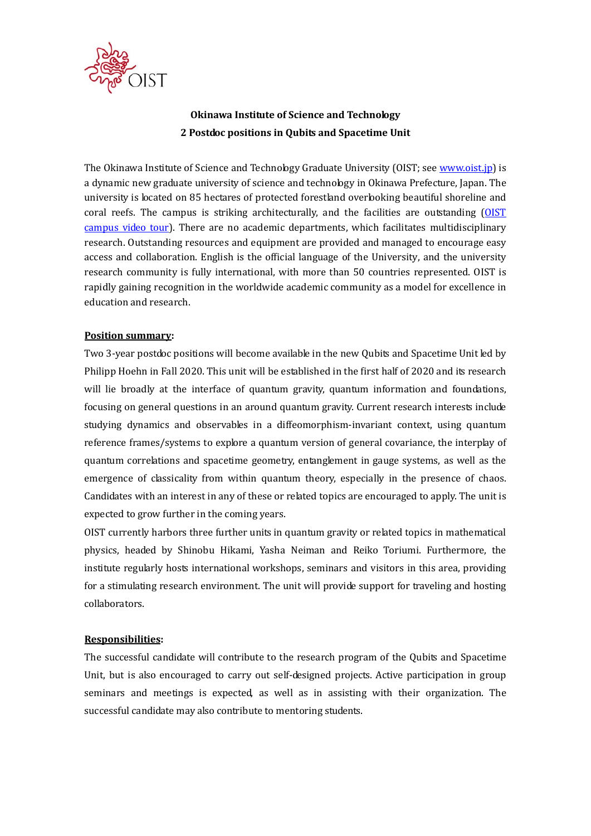

# **Okinawa Institute of Science and Technology 2 Postdoc positions in Qubits and Spacetime Unit**

The Okinawa Institute of Science and Technology Graduate University (OIST; see www.oist.jp) is a dynamic new graduate university of science and technology in Okinawa Prefecture, Japan. The university is located on 85 hectares of protected forestland overlooking beautiful shoreline and coral reefs. The campus is striking architecturally, and the facilities are outstanding (OIST campus video tour). There are no academic departments, which facilitates multidisciplinary research. Outstanding resources and equipment are provided and managed to encourage easy access and collaboration. English is the official language of the University, and the university research community is fully international, with more than 50 countries represented. OIST is rapidly gaining recognition in the worldwide academic community as a model for excellence in education and research.

#### **Position summary:**

Two 3-year postdoc positions will become available in the new Qubits and Spacetime Unit led by Philipp Hoehn in Fall 2020. This unit will be established in the first half of 2020 and its research will lie broadly at the interface of quantum gravity, quantum information and foundations, focusing on general questions in an around quantum gravity. Current research interests include studying dynamics and observables in a diffeomorphism-invariant context, using quantum reference frames/systems to explore a quantum version of general covariance, the interplay of quantum correlations and spacetime geometry, entanglement in gauge systems, as well as the emergence of classicality from within quantum theory, especially in the presence of chaos. Candidates with an interest in any of these or related topics are encouraged to apply. The unit is expected to grow further in the coming years.

OIST currently harbors three further units in quantum gravity or related topics in mathematical physics, headed by Shinobu Hikami, Yasha Neiman and Reiko Toriumi. Furthermore, the institute regularly hosts international workshops, seminars and visitors in this area, providing for a stimulating research environment. The unit will provide support for traveling and hosting collaborators.

#### **Responsibilities:**

The successful candidate will contribute to the research program of the Qubits and Spacetime Unit, but is also encouraged to carry out self-designed projects. Active participation in group seminars and meetings is expected, as well as in assisting with their organization. The successful candidate may also contribute to mentoring students.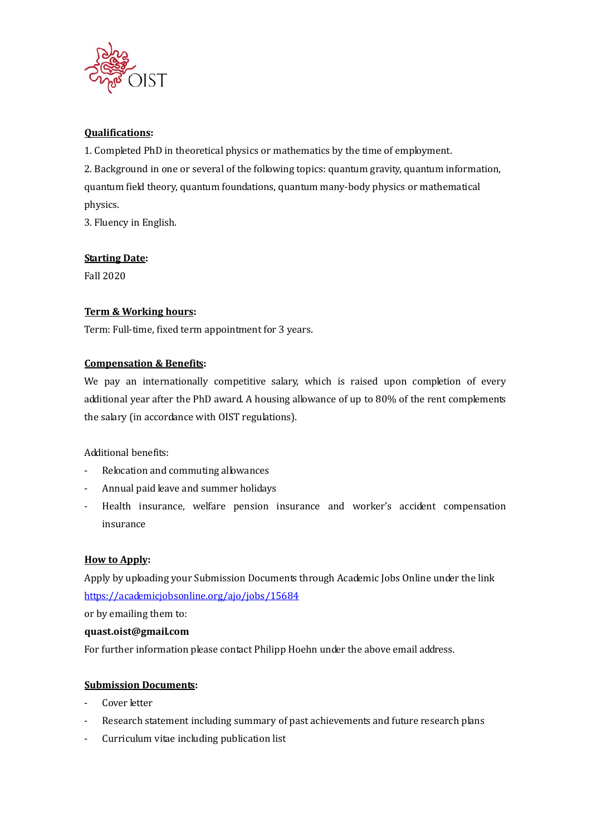

## **Qualifications:**

1. Completed PhD in theoretical physics or mathematics by the time of employment.

2. Background in one or several of the following topics: quantum gravity, quantum information, quantum field theory, quantum foundations, quantum many-body physics or mathematical physics.

3. Fluency in English.

### **Starting Date:**

Fall 2020

### **Term & Working hours:**

Term: Full-time, fixed term appointment for 3 years.

### **Compensation & Benefits:**

We pay an internationally competitive salary, which is raised upon completion of every additional year after the PhD award. A housing allowance of up to 80% of the rent complements the salary (in accordance with OIST regulations).

Additional benefits:

- Relocation and commuting allowances
- Annual paid leave and summer holidays
- Health insurance, welfare pension insurance and worker's accident compensation insurance

### **How to Apply:**

Apply by uploading your Submission Documents through Academic Jobs Online under the link https://academicjobsonline.org/ajo/jobs/15684

or by emailing them to:

#### **quast.oist@gmail.com**

For further information please contact Philipp Hoehn under the above email address.

### **Submission Documents:**

- Cover letter
- Research statement including summary of past achievements and future research plans
- Curriculum vitae including publication list